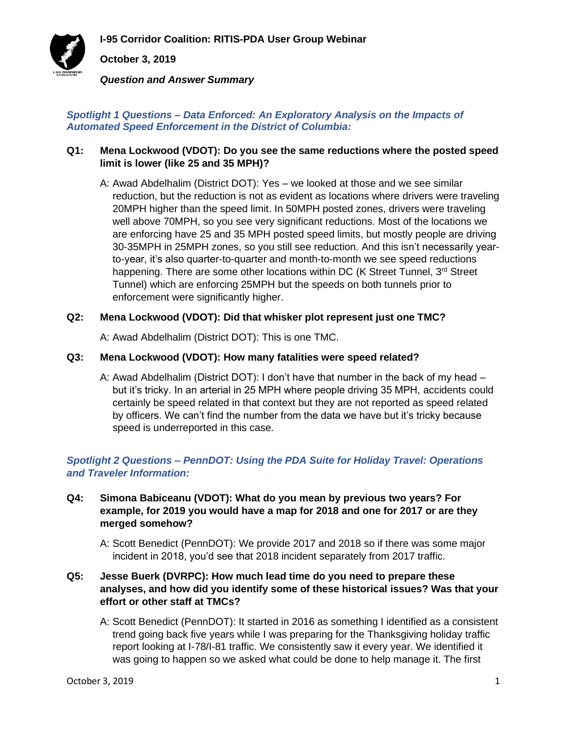**I-95 Corridor Coalition: RITIS-PDA User Group Webinar**



**October 3, 2019**

*Question and Answer Summary*

#### *Spotlight 1 Questions – Data Enforced: An Exploratory Analysis on the Impacts of Automated Speed Enforcement in the District of Columbia:*

### **Q1: Mena Lockwood (VDOT): Do you see the same reductions where the posted speed limit is lower (like 25 and 35 MPH)?**

A: Awad Abdelhalim (District DOT): Yes – we looked at those and we see similar reduction, but the reduction is not as evident as locations where drivers were traveling 20MPH higher than the speed limit. In 50MPH posted zones, drivers were traveling well above 70MPH, so you see very significant reductions. Most of the locations we are enforcing have 25 and 35 MPH posted speed limits, but mostly people are driving 30-35MPH in 25MPH zones, so you still see reduction. And this isn't necessarily yearto-year, it's also quarter-to-quarter and month-to-month we see speed reductions happening. There are some other locations within DC (K Street Tunnel, 3<sup>rd</sup> Street Tunnel) which are enforcing 25MPH but the speeds on both tunnels prior to enforcement were significantly higher.

## **Q2: Mena Lockwood (VDOT): Did that whisker plot represent just one TMC?**

A: Awad Abdelhalim (District DOT): This is one TMC.

#### **Q3: Mena Lockwood (VDOT): How many fatalities were speed related?**

A: Awad Abdelhalim (District DOT): I don't have that number in the back of my head – but it's tricky. In an arterial in 25 MPH where people driving 35 MPH, accidents could certainly be speed related in that context but they are not reported as speed related by officers. We can't find the number from the data we have but it's tricky because speed is underreported in this case.

# *Spotlight 2 Questions – PennDOT: Using the PDA Suite for Holiday Travel: Operations and Traveler Information:*

#### **Q4: Simona Babiceanu (VDOT): What do you mean by previous two years? For example, for 2019 you would have a map for 2018 and one for 2017 or are they merged somehow?**

A: Scott Benedict (PennDOT): We provide 2017 and 2018 so if there was some major incident in 2018, you'd see that 2018 incident separately from 2017 traffic.

# **Q5: Jesse Buerk (DVRPC): How much lead time do you need to prepare these analyses, and how did you identify some of these historical issues? Was that your effort or other staff at TMCs?**

A: Scott Benedict (PennDOT): It started in 2016 as something I identified as a consistent trend going back five years while I was preparing for the Thanksgiving holiday traffic report looking at I-78/I-81 traffic. We consistently saw it every year. We identified it was going to happen so we asked what could be done to help manage it. The first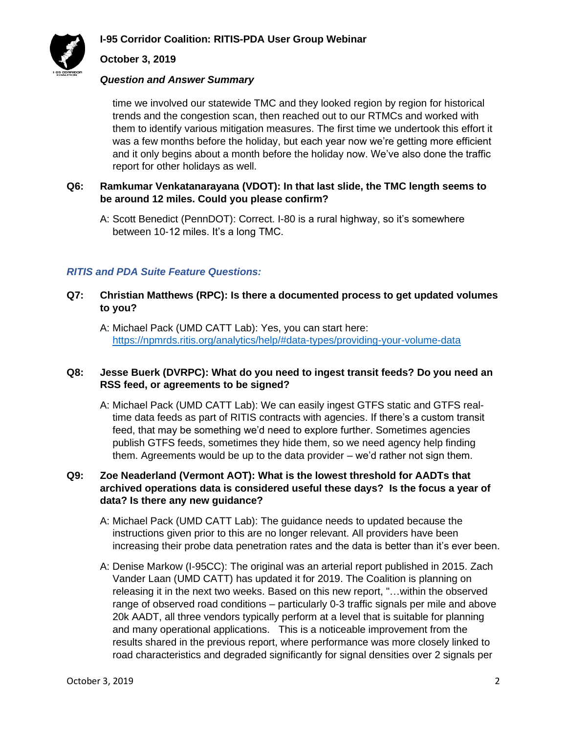

# **October 3, 2019**

#### *Question and Answer Summary*

time we involved our statewide TMC and they looked region by region for historical trends and the congestion scan, then reached out to our RTMCs and worked with them to identify various mitigation measures. The first time we undertook this effort it was a few months before the holiday, but each year now we're getting more efficient and it only begins about a month before the holiday now. We've also done the traffic report for other holidays as well.

## **Q6: Ramkumar Venkatanarayana (VDOT): In that last slide, the TMC length seems to be around 12 miles. Could you please confirm?**

A: Scott Benedict (PennDOT): Correct. I-80 is a rural highway, so it's somewhere between 10-12 miles. It's a long TMC.

## *RITIS and PDA Suite Feature Questions:*

## **Q7: Christian Matthews (RPC): Is there a documented process to get updated volumes to you?**

A: Michael Pack (UMD CATT Lab): Yes, you can start here: <https://npmrds.ritis.org/analytics/help/#data-types/providing-your-volume-data>

## **Q8: Jesse Buerk (DVRPC): What do you need to ingest transit feeds? Do you need an RSS feed, or agreements to be signed?**

A: Michael Pack (UMD CATT Lab): We can easily ingest GTFS static and GTFS realtime data feeds as part of RITIS contracts with agencies. If there's a custom transit feed, that may be something we'd need to explore further. Sometimes agencies publish GTFS feeds, sometimes they hide them, so we need agency help finding them. Agreements would be up to the data provider – we'd rather not sign them.

## **Q9: Zoe Neaderland (Vermont AOT): What is the lowest threshold for AADTs that archived operations data is considered useful these days? Is the focus a year of data? Is there any new guidance?**

- A: Michael Pack (UMD CATT Lab): The guidance needs to updated because the instructions given prior to this are no longer relevant. All providers have been increasing their probe data penetration rates and the data is better than it's ever been.
- A: Denise Markow (I-95CC): The original was an arterial report published in 2015. Zach Vander Laan (UMD CATT) has updated it for 2019. The Coalition is planning on releasing it in the next two weeks. Based on this new report, "…within the observed range of observed road conditions – particularly 0-3 traffic signals per mile and above 20k AADT, all three vendors typically perform at a level that is suitable for planning and many operational applications. This is a noticeable improvement from the results shared in the previous report, where performance was more closely linked to road characteristics and degraded significantly for signal densities over 2 signals per